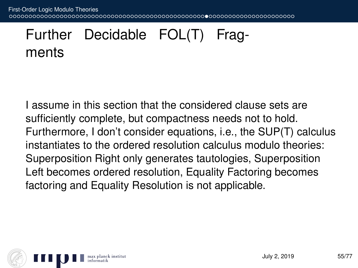First-Order Logic Modulo Theories 10000000000000000000000000000000000000 .0000000000000000000000

## Further Decidable FOL(T) Fragments

I assume in this section that the considered clause sets are sufficiently complete, but compactness needs not to hold. Furthermore, I don't consider equations, i.e., the SUP(T) calculus instantiates to the ordered resolution calculus modulo theories: Superposition Right only generates tautologies, Superposition Left becomes ordered resolution, Equality Factoring becomes factoring and Equality Resolution is not applicable.

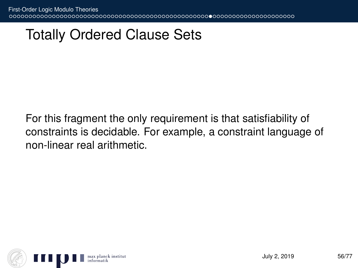## Totally Ordered Clause Sets

For this fragment the only requirement is that satisfiability of constraints is decidable. For example, a constraint language of non-linear real arithmetic.

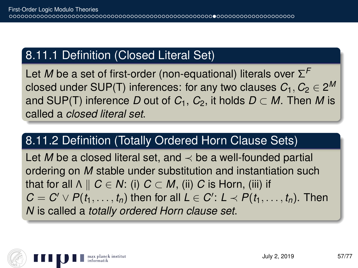## 8.11.1 Definition (Closed Literal Set)

Let *M* be a set of first-order (non-equational) literals over Σ *F* closed under SUP(T) inferences: for any two clauses  $C_1, C_2 \in 2^M$ and SUP(T) inference *D* out of  $C_1$ ,  $C_2$ , it holds  $D \subset M$ . Then *M* is called a *closed literal set*.

## 8.11.2 Definition (Totally Ordered Horn Clause Sets)

Let *M* be a closed literal set, and  $\prec$  be a well-founded partial ordering on *M* stable under substitution and instantiation such that for all  $\Lambda \parallel C \in \mathbb{N}$ : (i)  $C \subset M$ , (ii) *C* is Horn, (iii) if  $C = C' \vee P(t_1, \ldots, t_n)$  then for all  $L \in C'$ :  $L \prec P(t_1, \ldots, t_n)$ . Then *N* is called a *totally ordered Horn clause set*.

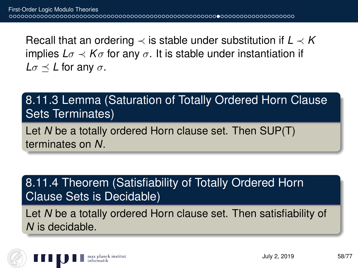Recall that an ordering  $\prec$  is stable under substitution if  $L \prec K$ implies  $L\sigma \prec K\sigma$  for any  $\sigma$ . It is stable under instantiation if  $L\sigma \preceq L$  for any  $\sigma$ .

8.11.3 Lemma (Saturation of Totally Ordered Horn Clause Sets Terminates)

Let *N* be a totally ordered Horn clause set. Then SUP(T) terminates on *N*.

8.11.4 Theorem (Satisfiability of Totally Ordered Horn Clause Sets is Decidable)

Let *N* be a totally ordered Horn clause set. Then satisfiability of *N* is decidable.

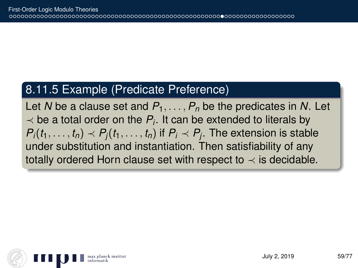#### 8.11.5 Example (Predicate Preference)

Let N be a clause set and  $P_1, \ldots, P_n$  be the predicates in N. Let  $\prec$  be a total order on the  $P_i$ . It can be extended to literals by  $P_i(t_1,\ldots,t_n)\prec P_j(t_1,\ldots,t_n)$  if  $P_i\prec P_j.$  The extension is stable under substitution and instantiation. Then satisfiability of any totally ordered Horn clause set with respect to  $\prec$  is decidable.

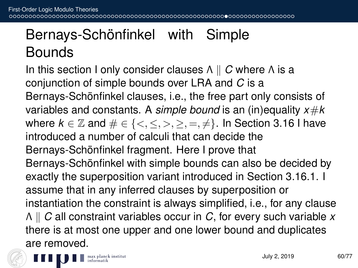# Bernays-Schönfinkel with Simple **Bounds**

In this section I only consider clauses  $Λ$  || *C* where Λ is a conjunction of simple bounds over LRA and *C* is a Bernays-Schönfinkel clauses, i.e., the free part only consists of variables and constants. A *simple bound* is an (in)equality *x*#*k* where  $k \in \mathbb{Z}$  and  $\# \in \{<,\leq,>,\geq,=,\neq\}.$  In Section 3.16 I have introduced a number of calculi that can decide the Bernays-Schönfinkel fragment. Here I prove that Bernays-Schönfinkel with simple bounds can also be decided by exactly the superposition variant introduced in Section 3.16.1. I assume that in any inferred clauses by superposition or instantiation the constraint is always simplified, i.e., for any clause Λ k *C* all constraint variables occur in *C*, for every such variable *x* there is at most one upper and one lower bound and duplicates are removed.

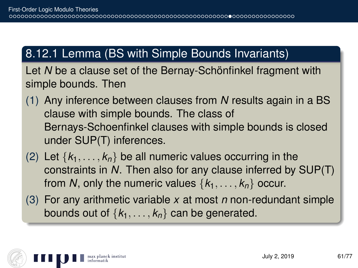## 8.12.1 Lemma (BS with Simple Bounds Invariants)

Let *N* be a clause set of the Bernay-Schönfinkel fragment with simple bounds. Then

- (1) Any inference between clauses from *N* results again in a BS clause with simple bounds. The class of Bernays-Schoenfinkel clauses with simple bounds is closed under SUP(T) inferences.
- (2) Let  $\{k_1, \ldots, k_n\}$  be all numeric values occurring in the constraints in *N*. Then also for any clause inferred by SUP(T) from *N*, only the numeric values  $\{k_1, \ldots, k_n\}$  occur.
- (3) For any arithmetic variable *x* at most *n* non-redundant simple bounds out of  $\{k_1, \ldots, k_n\}$  can be generated.

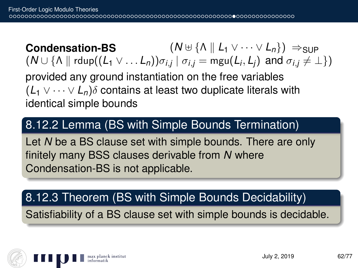**Condensation-BS**  $(N \oplus {\Lambda} || L_1 \vee \cdots \vee L_n)) \Rightarrow$ SUP  $(N \cup \{ \wedge \parallel \mathsf{rdup}((\mathsf{L}_1 \vee \ldots \mathsf{L}_n))\sigma_{i,j} \mid \sigma_{i,j} = \mathsf{mgu}(\mathsf{L}_i,\mathsf{L}_j) \ \text{ and } \sigma_{i,j} \neq \bot \})$ provided any ground instantiation on the free variables  $(L_1 \vee \cdots \vee L_n)\delta$  contains at least two duplicate literals with identical simple bounds

#### 8.12.2 Lemma (BS with Simple Bounds Termination)

Let *N* be a BS clause set with simple bounds. There are only finitely many BSS clauses derivable from *N* where Condensation-BS is not applicable.

## 8.12.3 Theorem (BS with Simple Bounds Decidability)

Satisfiability of a BS clause set with simple bounds is decidable.

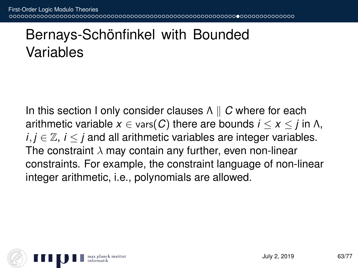# Bernays-Schönfinkel with Bounded Variables

In this section I only consider clauses  $Λ \parallel C$  where for each arithmetic variable  $x \in \text{vars}(C)$  there are bounds  $i \leq x \leq j$  in  $\Lambda$ , *i*, *j* ∈  $\mathbb{Z}$ , *i* < *j* and all arithmetic variables are integer variables. The constraint  $\lambda$  may contain any further, even non-linear constraints. For example, the constraint language of non-linear integer arithmetic, i.e., polynomials are allowed.